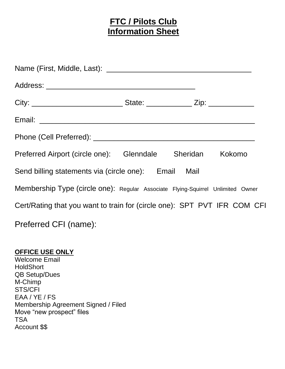# **FTC / Pilots Club Information Sheet**

| Preferred Airport (circle one): Glenndale Sheridan Kokomo                       |  |  |
|---------------------------------------------------------------------------------|--|--|
| Send billing statements via (circle one): Email Mail                            |  |  |
| Membership Type (circle one): Regular Associate Flying-Squirrel Unlimited Owner |  |  |
| Cert/Rating that you want to train for (circle one): SPT PVT IFR COM CFI        |  |  |
| Preferred CFI (name):                                                           |  |  |

## **OFFICE USE ONLY**

Welcome Email **HoldShort** QB Setup/Dues M-Chimp STS/CFI EAA / YE / FS Membership Agreement Signed / Filed Move "new prospect" files TSA Account \$\$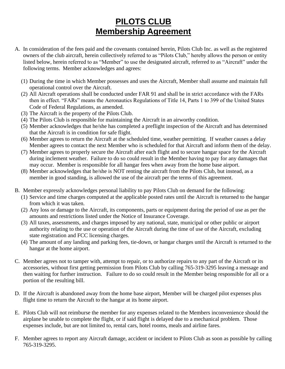# **PILOTS CLUB Membership Agreement**

- A. In consideration of the fees paid and the covenants contained herein, Pilots Club Inc. as well as the registered owners of the club aircraft, herein collectively referred to as "Pilots Club," hereby allows the person or entity listed below, herein referred to as "Member" to use the designated aircraft, referred to as "Aircraft" under the following terms. Member acknowledges and agrees:
	- (1) During the time in which Member possesses and uses the Aircraft, Member shall assume and maintain full operational control over the Aircraft.
	- (2) All Aircraft operations shall be conducted under FAR 91 and shall be in strict accordance with the FARs then in effect. "FARs" means the Aeronautics Regulations of Title 14, Parts 1 to 399 of the United States Code of Federal Regulations, as amended.
	- (3) The Aircraft is the property of the Pilots Club.
	- (4) The Pilots Club is responsible for maintaining the Aircraft in an airworthy condition.
	- (5) Member acknowledges that he/she has completed a preflight inspection of the Aircraft and has determined that the Aircraft is in condition for safe flight.
	- (6) Member agrees to return the Aircraft at the scheduled time, weather permitting. If weather causes a delay Member agrees to contact the next Member who is scheduled for that Aircraft and inform them of the delay.
	- (7) Member agrees to properly secure the Aircraft after each flight and to secure hangar space for the Aircraft during inclement weather. Failure to do so could result in the Member having to pay for any damages that may occur. Member is responsible for all hangar fees when away from the home base airport.
	- (8) Member acknowledges that he/she is NOT renting the aircraft from the Pilots Club, but instead, as a member in good standing, is allowed the use of the aircraft per the terms of this agreement.
- B. Member expressly acknowledges personal liability to pay Pilots Club on demand for the following:
	- (1) Service and time charges computed at the applicable posted rates until the Aircraft is returned to the hangar from which it was taken.
	- (2) Any loss or damage to the Aircraft, its components, parts or equipment during the period of use as per the amounts and restrictions listed under the Notice of Insurance Coverage.
	- (3) All taxes, assessments, and charges imposed by any national, state, municipal or other public or airport authority relating to the use or operation of the Aircraft during the time of use of the Aircraft, excluding state registration and FCC licensing charges.
	- (4) The amount of any landing and parking fees, tie-down, or hangar charges until the Aircraft is returned to the hangar at the home airport.
- C. Member agrees not to tamper with, attempt to repair, or to authorize repairs to any part of the Aircraft or its accessories, without first getting permission from Pilots Club by calling 765-319-3295 leaving a message and then waiting for further instruction. Failure to do so could result in the Member being responsible for all or a portion of the resulting bill.
- D. If the Aircraft is abandoned away from the home base airport, Member will be charged pilot expenses plus flight time to return the Aircraft to the hangar at its home airport.
- E. Pilots Club will not reimburse the member for any expenses related to the Members inconvenience should the airplane be unable to complete the flight, or if said flight is delayed due to a mechanical problem. Those expenses include, but are not limited to, rental cars, hotel rooms, meals and airline fares.
- F. Member agrees to report any Aircraft damage, accident or incident to Pilots Club as soon as possible by calling 765-319-3295.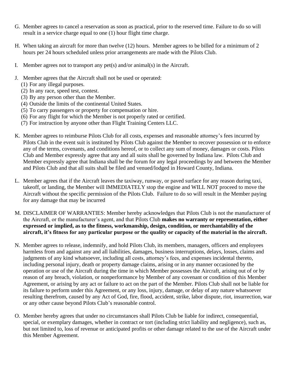- G. Member agrees to cancel a reservation as soon as practical, prior to the reserved time. Failure to do so will result in a service charge equal to one (1) hour flight time charge.
- H. When taking an aircraft for more than twelve (12) hours. Member agrees to be billed for a minimum of 2 hours per 24 hours scheduled unless prior arrangements are made with the Pilots Club.
- I. Member agrees not to transport any pet(s) and/or animal(s) in the Aircraft.
- J. Member agrees that the Aircraft shall not be used or operated:
	- (1) For any illegal purposes.
	- (2) In any race, speed test, contest.
	- (3) By any person other than the Member.
	- (4) Outside the limits of the continental United States.
	- (5) To carry passengers or property for compensation or hire.
	- (6) For any flight for which the Member is not properly rated or certified.
	- (7) For instruction by anyone other than Flight Training Centers LLC.
- K. Member agrees to reimburse Pilots Club for all costs, expenses and reasonable attorney's fees incurred by Pilots Club in the event suit is instituted by Pilots Club against the Member to recover possession or to enforce any of the terms, covenants, and conditions hereof, or to collect any sum of money, damages or costs. Pilots Club and Member expressly agree that any and all suits shall be governed by Indiana law. Pilots Club and Member expressly agree that Indiana shall be the forum for any legal proceedings by and between the Member and Pilots Club and that all suits shall be filed and venued/lodged in Howard County, Indiana.
- L. Member agrees that if the Aircraft leaves the taxiway, runway, or paved surface for any reason during taxi, takeoff, or landing, the Member will IMMEDIATELY stop the engine and WILL NOT proceed to move the Aircraft without the specific permission of the Pilots Club. Failure to do so will result in the Member paying for any damage that may be incurred
- M. DISCLAIMER OF WARRANTIES: Member hereby acknowledges that Pilots Club is not the manufacturer of the Aircraft, or the manufacturer's agent, and that Pilots Club **makes no warranty or representation, either expressed or implied, as to the fitness, workmanship, design, condition, or merchantability of the aircraft, it's fitness for any particular purpose or the quality or capacity of the material in the aircraft.**
- N. Member agrees to release, indemnify, and hold Pilots Club, its members, managers, officers and employees harmless from and against any and all liabilities, damages, business interruptions, delays, losses, claims and judgments of any kind whatsoever, including all costs, attorney's fees, and expenses incidental thereto, including personal injury, death or property damage claims, arising or in any manner occasioned by the operation or use of the Aircraft during the time in which Member possesses the Aircraft, arising out of or by reason of any breach, violation, or nonperformance by Member of any covenant or condition of this Member Agreement, or arising by any act or failure to act on the part of the Member. Pilots Club shall not be liable for its failure to perform under this Agreement, or any loss, injury, damage, or delay of any nature whatsoever resulting therefrom, caused by any Act of God, fire, flood, accident, strike, labor dispute, riot, insurrection, war or any other cause beyond Pilots Club's reasonable control.
- O. Member hereby agrees that under no circumstances shall Pilots Club be liable for indirect, consequential, special, or exemplary damages, whether in contract or tort (including strict liability and negligence), such as, but not limited to, loss of revenue or anticipated profits or other damage related to the use of the Aircraft under this Member Agreement.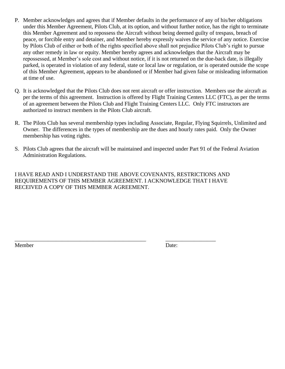- P. Member acknowledges and agrees that if Member defaults in the performance of any of his/her obligations under this Member Agreement, Pilots Club, at its option, and without further notice, has the right to terminate this Member Agreement and to repossess the Aircraft without being deemed guilty of trespass, breach of peace, or forcible entry and detainer, and Member hereby expressly waives the service of any notice. Exercise by Pilots Club of either or both of the rights specified above shall not prejudice Pilots Club's right to pursue any other remedy in law or equity. Member hereby agrees and acknowledges that the Aircraft may be repossessed, at Member's sole cost and without notice, if it is not returned on the due-back date, is illegally parked, is operated in violation of any federal, state or local law or regulation, or is operated outside the scope of this Member Agreement, appears to be abandoned or if Member had given false or misleading information at time of use.
- Q. It is acknowledged that the Pilots Club does not rent aircraft or offer instruction. Members use the aircraft as per the terms of this agreement. Instruction is offered by Flight Training Centers LLC (FTC), as per the terms of an agreement between the Pilots Club and Flight Training Centers LLC. Only FTC instructors are authorized to instruct members in the Pilots Club aircraft.
- R. The Pilots Club has several membership types including Associate, Regular, Flying Squirrels, Unlimited and Owner. The differences in the types of membership are the dues and hourly rates paid. Only the Owner membership has voting rights.
- S. Pilots Club agrees that the aircraft will be maintained and inspected under Part 91 of the Federal Aviation Administration Regulations.

I HAVE READ AND I UNDERSTAND THE ABOVE COVENANTS, RESTRICTIONS AND REQUIREMENTS OF THIS MEMBER AGREEMENT. I ACKNOWLEDGE THAT I HAVE RECEIVED A COPY OF THIS MEMBER AGREEMENT.

\_\_\_\_\_\_\_\_\_\_\_\_\_\_\_\_\_\_\_\_\_\_\_\_\_\_\_\_\_\_\_\_\_\_\_\_\_\_\_\_\_\_\_\_\_\_\_ \_\_\_\_\_\_\_\_\_\_\_\_\_\_\_\_\_\_

Member Date: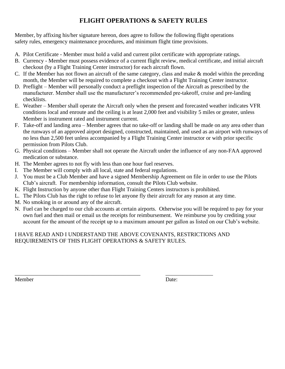## **FLIGHT OPERATIONS & SAFETY RULES**

Member, by affixing his/her signature hereon, does agree to follow the following flight operations safety rules, emergency maintenance procedures, and minimum flight time provisions.

- A. Pilot Certificate Member must hold a valid and current pilot certificate with appropriate ratings.
- B. Currency Member must possess evidence of a current flight review, medical certificate, and initial aircraft checkout (by a Flight Training Center instructor) for each aircraft flown.
- C. If the Member has not flown an aircraft of the same category, class and make & model within the preceding month, the Member will be required to complete a checkout with a Flight Training Center instructor.
- D. Preflight Member will personally conduct a preflight inspection of the Aircraft as prescribed by the manufacturer. Member shall use the manufacturer's recommended pre-takeoff, cruise and pre-landing checklists.
- E. Weather Member shall operate the Aircraft only when the present and forecasted weather indicates VFR conditions local and enroute and the ceiling is at least 2,000 feet and visibility 5 miles or greater, unless Member is instrument rated and instrument current.
- F. Take-off and landing area Member agrees that no take-off or landing shall be made on any area other than the runways of an approved airport designed, constructed, maintained, and used as an airport with runways of no less than 2,500 feet unless accompanied by a Flight Training Center instructor or with prior specific permission from Pilots Club.
- G. Physical conditions Member shall not operate the Aircraft under the influence of any non-FAA approved medication or substance.
- H. The Member agrees to not fly with less than one hour fuel reserves.
- I. The Member will comply with all local, state and federal regulations.
- J. You must be a Club Member and have a signed Membership Agreement on file in order to use the Pilots Club's aircraft. For membership information, consult the Pilots Club website.
- K. Flight Instruction by anyone other than Flight Training Centers instructors is prohibited.
- L. The Pilots Club has the right to refuse to let anyone fly their aircraft for any reason at any time.
- M. No smoking in or around any of the aircraft.
- N. Fuel can be charged to our club accounts at certain airports. Otherwise you will be required to pay for your own fuel and then mail or email us the receipts for reimbursement. We reimburse you by crediting your account for the amount of the receipt up to a maximum amount per gallon as listed on our Club's website.

### I HAVE READ AND I UNDERSTAND THE ABOVE COVENANTS, RESTRICTIONS AND REQUIREMENTS OF THIS FLIGHT OPERATIONS & SAFETY RULES.

Member Date:

\_\_\_\_\_\_\_\_\_\_\_\_\_\_\_\_\_\_\_\_\_\_\_\_\_\_\_\_\_\_\_\_\_\_\_\_\_\_\_\_\_\_\_\_\_ \_\_\_\_\_\_\_\_\_\_\_\_\_\_\_\_\_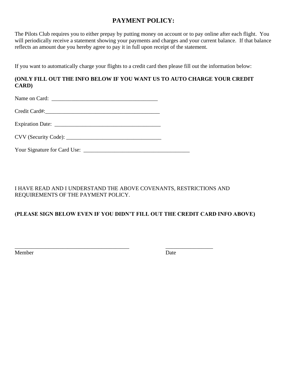## **PAYMENT POLICY:**

The Pilots Club requires you to either prepay by putting money on account or to pay online after each flight. You will periodically receive a statement showing your payments and charges and your current balance. If that balance reflects an amount due you hereby agree to pay it in full upon receipt of the statement.

If you want to automatically charge your flights to a credit card then please fill out the information below:

#### **(ONLY FILL OUT THE INFO BELOW IF YOU WANT US TO AUTO CHARGE YOUR CREDIT CARD)**

Name on Card: \_\_\_\_\_\_\_\_\_\_\_\_\_\_\_\_\_\_\_\_\_\_\_\_\_\_\_\_\_\_\_\_\_\_\_\_\_\_

Credit Card#:\_\_\_\_\_\_\_\_\_\_\_\_\_\_\_\_\_\_\_\_\_\_\_\_\_\_\_\_\_\_\_\_\_\_\_\_\_\_\_\_\_

Expiration Date: \_\_\_\_\_\_\_\_\_\_\_\_\_\_\_\_\_\_\_\_\_\_\_\_\_\_\_\_\_\_\_\_\_\_\_\_\_\_

Your Signature for Card Use: \_\_\_\_\_\_\_\_\_\_\_\_\_\_\_\_\_\_\_\_\_\_\_\_\_\_\_\_\_\_\_\_\_\_\_\_\_\_

### I HAVE READ AND I UNDERSTAND THE ABOVE COVENANTS, RESTRICTIONS AND REQUIREMENTS OF THE PAYMENT POLICY.

### **(PLEASE SIGN BELOW EVEN IF YOU DIDN'T FILL OUT THE CREDIT CARD INFO ABOVE)**

\_\_\_\_\_\_\_\_\_\_\_\_\_\_\_\_\_\_\_\_\_\_\_\_\_\_\_\_\_\_\_\_\_\_\_\_\_\_\_\_\_ \_\_\_\_\_\_\_\_\_\_\_\_\_\_\_\_\_ Member Date